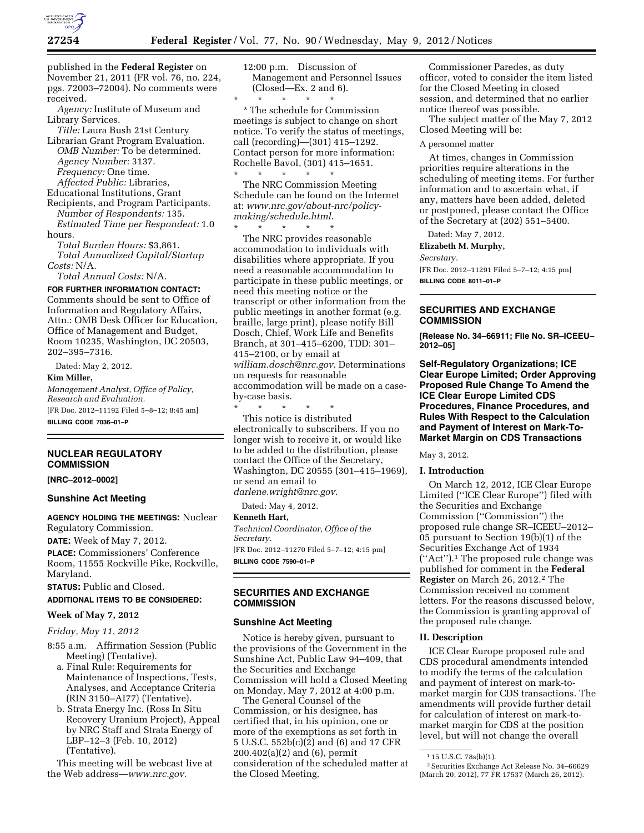

published in the **Federal Register** on November 21, 2011 (FR vol. 76, no. 224, pgs. 72003–72004). No comments were received.

*Agency:* Institute of Museum and Library Services.

*Title:* Laura Bush 21st Century

Librarian Grant Program Evaluation. *OMB Number:* To be determined. *Agency Number:* 3137. *Frequency:* One time.

*Affected Public:* Libraries,

Educational Institutions, Grant Recipients, and Program Participants.

*Number of Respondents:* 135. *Estimated Time per Respondent:* 1.0 hours.

*Total Burden Hours:* \$3,861. *Total Annualized Capital/Startup Costs:* N/A.

*Total Annual Costs:* N/A.

**FOR FURTHER INFORMATION CONTACT:**  Comments should be sent to Office of Information and Regulatory Affairs, Attn.: OMB Desk Officer for Education, Office of Management and Budget, Room 10235, Washington, DC 20503, 202–395–7316.

Dated: May 2, 2012.

### **Kim Miller,**

*Management Analyst, Office of Policy, Research and Evaluation.* 

[FR Doc. 2012–11192 Filed 5–8–12; 8:45 am] **BILLING CODE 7036–01–P** 

### **NUCLEAR REGULATORY COMMISSION**

**[NRC–2012–0002]** 

# **Sunshine Act Meeting**

**AGENCY HOLDING THE MEETINGS:** Nuclear Regulatory Commission.

**DATE:** Week of May 7, 2012.

**PLACE:** Commissioners' Conference Room, 11555 Rockville Pike, Rockville, Maryland.

**STATUS:** Public and Closed.

# **ADDITIONAL ITEMS TO BE CONSIDERED:**

### **Week of May 7, 2012**

# *Friday, May 11, 2012*

- 8:55 a.m. Affirmation Session (Public Meeting) (Tentative).
	- a. Final Rule: Requirements for Maintenance of Inspections, Tests, Analyses, and Acceptance Criteria (RIN 3150–AI77) (Tentative).
	- b. Strata Energy Inc. (Ross In Situ Recovery Uranium Project), Appeal by NRC Staff and Strata Energy of LBP–12–3 (Feb. 10, 2012) (Tentative).

This meeting will be webcast live at the Web address—*[www.nrc.gov](http://www.nrc.gov)*.

12:00 p.m. Discussion of Management and Personnel Issues (Closed—Ex. 2 and 6).

\* \* \* \* \* \* The schedule for Commission meetings is subject to change on short notice. To verify the status of meetings, call (recording)—(301) 415–1292. Contact person for more information: Rochelle Bavol, (301) 415–1651. \* \* \* \* \*

The NRC Commission Meeting Schedule can be found on the Internet at: *[www.nrc.gov/about-nrc/policy](http://www.nrc.gov/about-nrc/policy-making/schedule.html)[making/schedule.html](http://www.nrc.gov/about-nrc/policy-making/schedule.html)*.

\* \* \* \* \* The NRC provides reasonable accommodation to individuals with disabilities where appropriate. If you need a reasonable accommodation to participate in these public meetings, or need this meeting notice or the transcript or other information from the public meetings in another format (e.g. braille, large print), please notify Bill Dosch, Chief, Work Life and Benefits Branch, at 301–415–6200, TDD: 301– 415–2100, or by email at *[william.dosch@nrc.gov](mailto:william.dosch@nrc.gov)*. Determinations on requests for reasonable accommodation will be made on a caseby-case basis.

\* \* \* \* \* This notice is distributed electronically to subscribers. If you no longer wish to receive it, or would like to be added to the distribution, please contact the Office of the Secretary, Washington, DC 20555 (301–415–1969), or send an email to *[darlene.wright@nrc.gov](mailto:darlene.wright@nrc.gov)*.

Dated: May 4, 2012.

### **Kenneth Hart,**

*Technical Coordinator, Office of the Secretary.*  [FR Doc. 2012–11270 Filed 5–7–12; 4:15 pm]

**BILLING CODE 7590–01–P** 

### **SECURITIES AND EXCHANGE COMMISSION**

### **Sunshine Act Meeting**

Notice is hereby given, pursuant to the provisions of the Government in the Sunshine Act, Public Law 94–409, that the Securities and Exchange Commission will hold a Closed Meeting on Monday, May 7, 2012 at 4:00 p.m.

The General Counsel of the Commission, or his designee, has certified that, in his opinion, one or more of the exemptions as set forth in 5 U.S.C. 552b(c)(2) and (6) and 17 CFR 200.402(a)(2) and (6), permit consideration of the scheduled matter at the Closed Meeting.

Commissioner Paredes, as duty officer, voted to consider the item listed for the Closed Meeting in closed session, and determined that no earlier notice thereof was possible.

The subject matter of the May 7, 2012 Closed Meeting will be:

A personnel matter

At times, changes in Commission priorities require alterations in the scheduling of meeting items. For further information and to ascertain what, if any, matters have been added, deleted or postponed, please contact the Office of the Secretary at (202) 551–5400.

Dated: May 7, 2012.

# **Elizabeth M. Murphy,**

#### *Secretary.*

[FR Doc. 2012–11291 Filed 5–7–12; 4:15 pm] **BILLING CODE 8011–01–P** 

# **SECURITIES AND EXCHANGE COMMISSION**

**[Release No. 34–66911; File No. SR–ICEEU– 2012–05]** 

**Self-Regulatory Organizations; ICE Clear Europe Limited; Order Approving Proposed Rule Change To Amend the ICE Clear Europe Limited CDS Procedures, Finance Procedures, and Rules With Respect to the Calculation and Payment of Interest on Mark-To-Market Margin on CDS Transactions** 

May 3, 2012.

#### **I. Introduction**

On March 12, 2012, ICE Clear Europe Limited (''ICE Clear Europe'') filed with the Securities and Exchange Commission (''Commission'') the proposed rule change SR–ICEEU–2012– 05 pursuant to Section 19(b)(1) of the Securities Exchange Act of 1934 (''Act'').1 The proposed rule change was published for comment in the **Federal Register** on March 26, 2012.2 The Commission received no comment letters. For the reasons discussed below, the Commission is granting approval of the proposed rule change.

### **II. Description**

ICE Clear Europe proposed rule and CDS procedural amendments intended to modify the terms of the calculation and payment of interest on mark-tomarket margin for CDS transactions. The amendments will provide further detail for calculation of interest on mark-tomarket margin for CDS at the position level, but will not change the overall

<sup>1</sup> 15 U.S.C. 78s(b)(1).

<sup>2</sup>Securities Exchange Act Release No. 34–66629 (March 20, 2012), 77 FR 17537 (March 26, 2012).